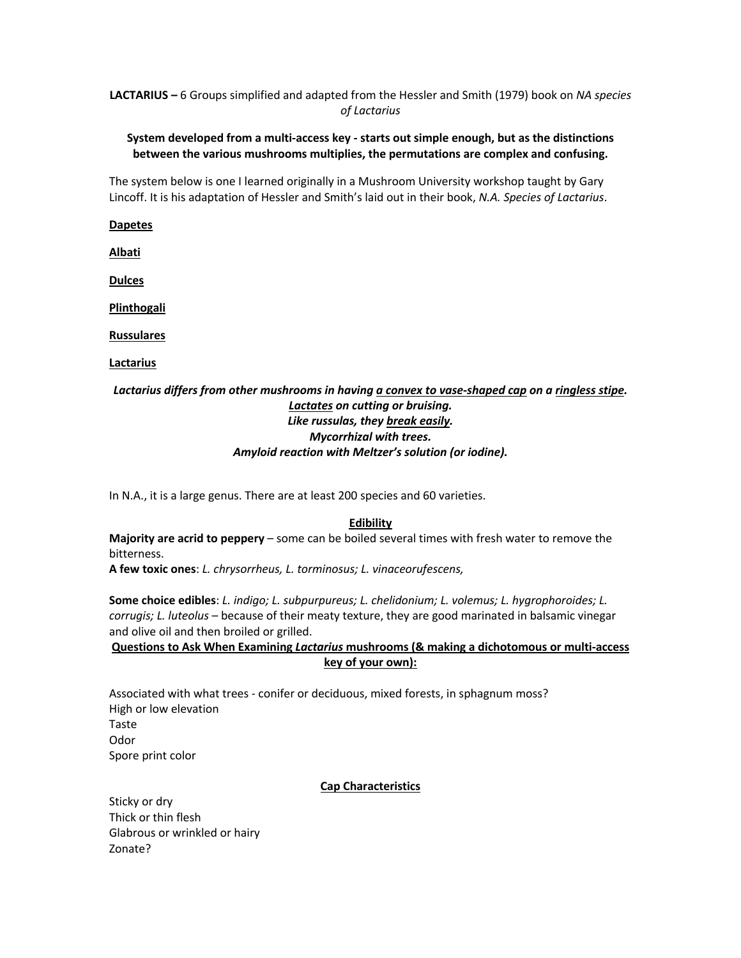# **LACTARIUS –** 6 Groups simplified and adapted from the Hessler and Smith (1979) book on *NA species of Lactarius*

## **System developed from a multi-access key - starts out simple enough, but as the distinctions between the various mushrooms multiplies, the permutations are complex and confusing.**

The system below is one I learned originally in a Mushroom University workshop taught by Gary Lincoff. It is his adaptation of Hessler and Smith's laid out in their book, *N.A. Species of Lactarius*.

## **Dapetes**

**Albati**

**Dulces**

**Plinthogali**

**Russulares**

**Lactarius**

# *Lactarius differs from other mushrooms in having a convex to vase-shaped cap on a ringless stipe. Lactates on cutting or bruising. Like russulas, they break easily. Mycorrhizal with trees. Amyloid reaction with Meltzer's solution (or iodine).*

In N.A., it is a large genus. There are at least 200 species and 60 varieties.

# **Edibility**

**Majority are acrid to peppery** – some can be boiled several times with fresh water to remove the bitterness.

**A few toxic ones**: *L. chrysorrheus, L. torminosus; L. vinaceorufescens,* 

**Some choice edibles**: *L. indigo; L. subpurpureus; L. chelidonium; L. volemus; L. hygrophoroides; L. corrugis; L. luteolus* – because of their meaty texture, they are good marinated in balsamic vinegar and olive oil and then broiled or grilled.

**Questions to Ask When Examining** *Lactarius* **mushrooms (& making a dichotomous or multi-access key of your own):**

Associated with what trees - conifer or deciduous, mixed forests, in sphagnum moss? High or low elevation Taste Odor Spore print color

# **Cap Characteristics**

Sticky or dry Thick or thin flesh Glabrous or wrinkled or hairy Zonate?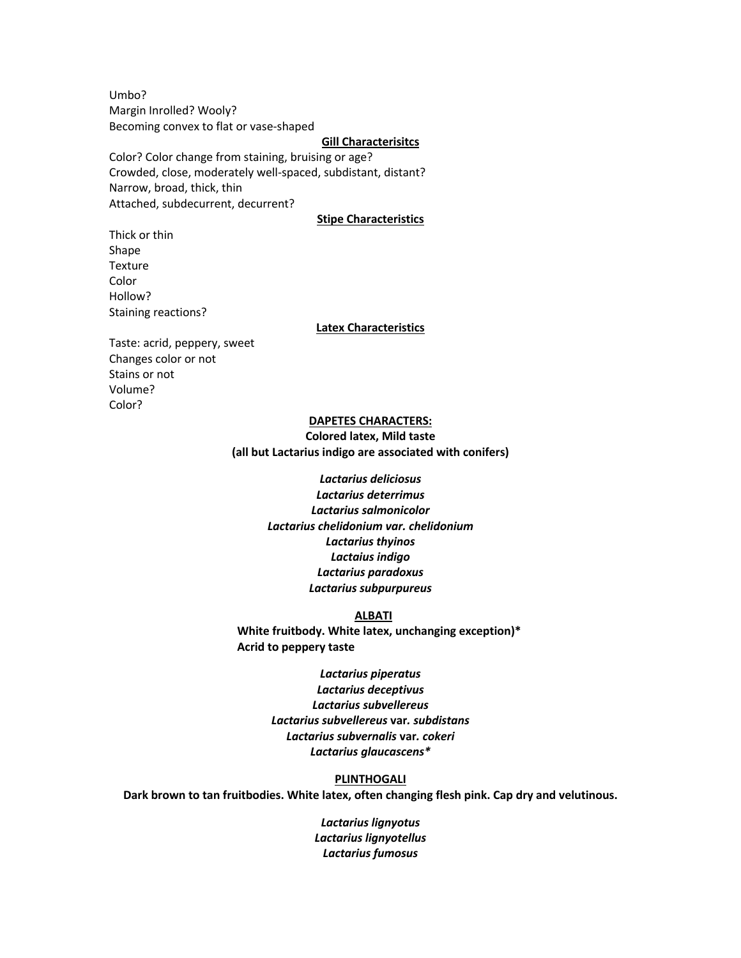Umbo? Margin Inrolled? Wooly? Becoming convex to flat or vase-shaped

### **Gill Characterisitcs**

Color? Color change from staining, bruising or age? Crowded, close, moderately well-spaced, subdistant, distant? Narrow, broad, thick, thin Attached, subdecurrent, decurrent?

## **Stipe Characteristics**

Thick or thin Shape Texture Color Hollow? Staining reactions?

#### **Latex Characteristics**

Taste: acrid, peppery, sweet Changes color or not Stains or not Volume? Color?

### **DAPETES CHARACTERS:**

**Colored latex, Mild taste (all but Lactarius indigo are associated with conifers)**

> *Lactarius deliciosus Lactarius deterrimus Lactarius salmonicolor Lactarius chelidonium var. chelidonium Lactarius thyinos Lactaius indigo Lactarius paradoxus Lactarius subpurpureus*

#### **ALBATI**

**White fruitbody. White latex, unchanging exception)\* Acrid to peppery taste**

> *Lactarius piperatus Lactarius deceptivus Lactarius subvellereus Lactarius subvellereus* **var***. subdistans Lactarius subvernalis* **var***. cokeri Lactarius glaucascens\**

### **PLINTHOGALI**

**Dark brown to tan fruitbodies. White latex, often changing flesh pink. Cap dry and velutinous.**

*Lactarius lignyotus Lactarius lignyotellus Lactarius fumosus*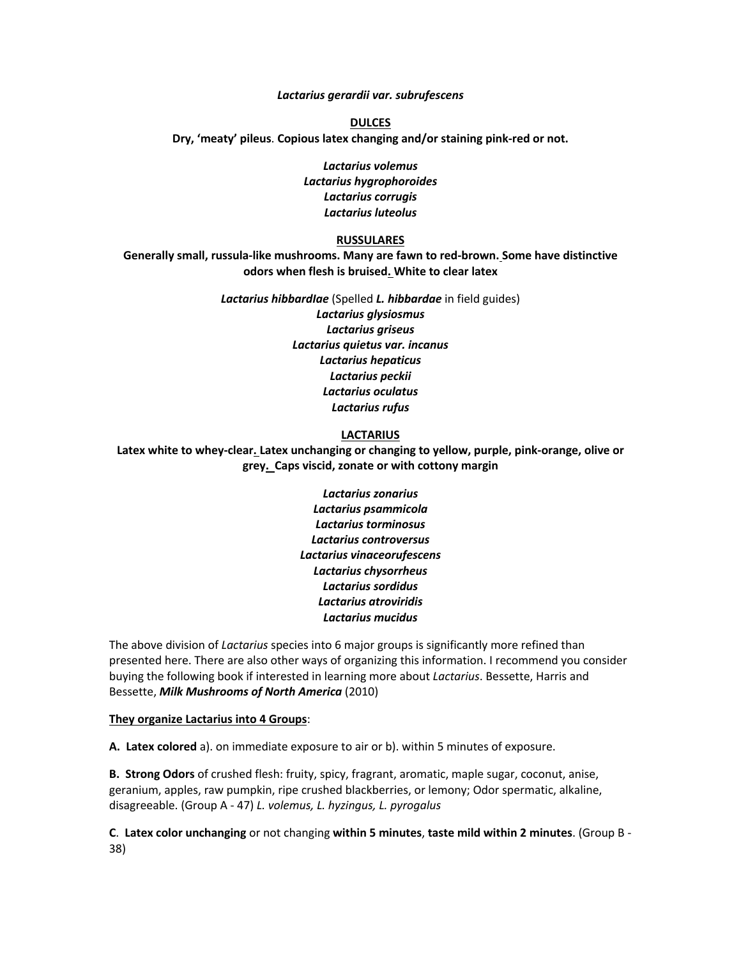*Lactarius gerardii var. subrufescens*

**DULCES Dry, 'meaty' pileus**. **Copious latex changing and/or staining pink-red or not.**

> *Lactarius volemus Lactarius hygrophoroides Lactarius corrugis Lactarius luteolus*

## **RUSSULARES**

**Generally small, russula-like mushrooms. Many are fawn to red-brown. Some have distinctive odors when flesh is bruised. White to clear latex**

> *Lactarius hibbardIae* (Spelled *L. hibbardae* in field guides) *Lactarius glysiosmus Lactarius griseus Lactarius quietus var. incanus Lactarius hepaticus Lactarius peckii Lactarius oculatus Lactarius rufus*

### **LACTARIUS**

**Latex white to whey-clear. Latex unchanging or changing to yellow, purple, pink-orange, olive or grey. Caps viscid, zonate or with cottony margin**

> *Lactarius zonarius Lactarius psammicola Lactarius torminosus Lactarius controversus Lactarius vinaceorufescens Lactarius chysorrheus Lactarius sordidus Lactarius atroviridis Lactarius mucidus*

The above division of *Lactarius* species into 6 major groups is significantly more refined than presented here. There are also other ways of organizing this information. I recommend you consider buying the following book if interested in learning more about *Lactarius*. Bessette, Harris and Bessette, *Milk Mushrooms of North America* (2010)

#### **They organize Lactarius into 4 Groups**:

**A. Latex colored** a). on immediate exposure to air or b). within 5 minutes of exposure.

**B. Strong Odors** of crushed flesh: fruity, spicy, fragrant, aromatic, maple sugar, coconut, anise, geranium, apples, raw pumpkin, ripe crushed blackberries, or lemony; Odor spermatic, alkaline, disagreeable. (Group A - 47) *L. volemus, L. hyzingus, L. pyrogalus*

**C**. **Latex color unchanging** or not changing **within 5 minutes**, **taste mild within 2 minutes**. (Group B - 38)